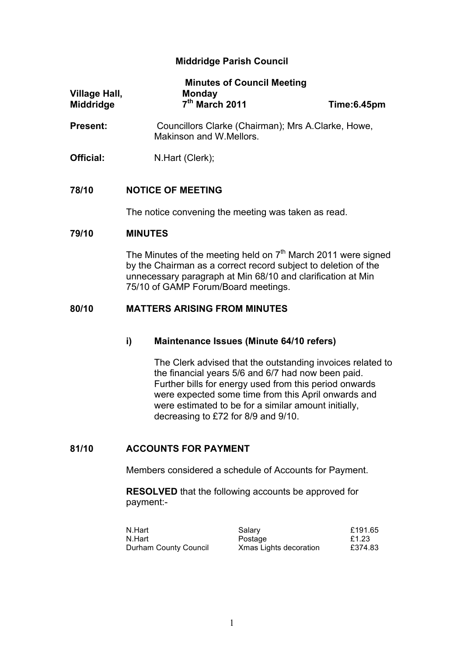# **Middridge Parish Council**

| Village Hall,<br><b>Middridge</b> | <b>Minutes of Council Meeting</b><br><b>Monday</b><br>7 <sup>th</sup> March 2011 | Time:6.45pm |
|-----------------------------------|----------------------------------------------------------------------------------|-------------|
| <b>Present:</b>                   | Councillors Clarke (Chairman); Mrs A.Clarke, Howe,<br>Makinson and W.Mellors.    |             |

**Official:** N.Hart (Clerk);

### **78/10 NOTICE OF MEETING**

The notice convening the meeting was taken as read.

### **79/10 MINUTES**

The Minutes of the meeting held on  $7<sup>th</sup>$  March 2011 were signed by the Chairman as a correct record subject to deletion of the unnecessary paragraph at Min 68/10 and clarification at Min 75/10 of GAMP Forum/Board meetings.

## **80/10 MATTERS ARISING FROM MINUTES**

# **i) Maintenance Issues (Minute 64/10 refers)**

The Clerk advised that the outstanding invoices related to the financial years 5/6 and 6/7 had now been paid. Further bills for energy used from this period onwards were expected some time from this April onwards and were estimated to be for a similar amount initially, decreasing to £72 for 8/9 and 9/10.

# **81/10 ACCOUNTS FOR PAYMENT**

Members considered a schedule of Accounts for Payment.

**RESOLVED** that the following accounts be approved for payment:-

| N.Hart                | Salary                 | £191.65 |
|-----------------------|------------------------|---------|
| N.Hart                | Postage                | £1.23   |
| Durham County Council | Xmas Lights decoration | £374.83 |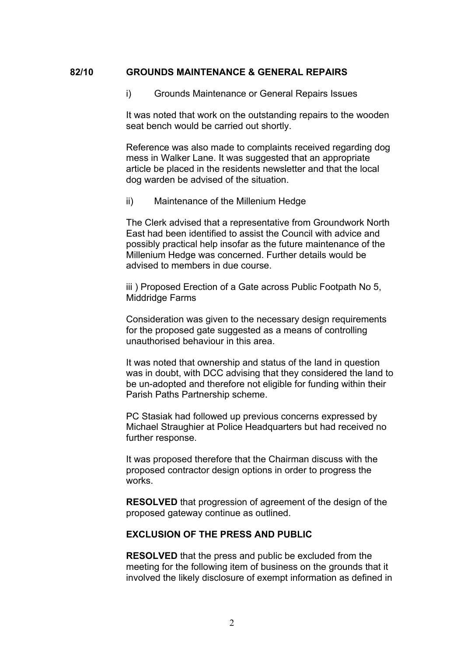### **82/10 GROUNDS MAINTENANCE & GENERAL REPAIRS**

i) Grounds Maintenance or General Repairs Issues

It was noted that work on the outstanding repairs to the wooden seat bench would be carried out shortly.

Reference was also made to complaints received regarding dog mess in Walker Lane. It was suggested that an appropriate article be placed in the residents newsletter and that the local dog warden be advised of the situation.

ii) Maintenance of the Millenium Hedge

The Clerk advised that a representative from Groundwork North East had been identified to assist the Council with advice and possibly practical help insofar as the future maintenance of the Millenium Hedge was concerned. Further details would be advised to members in due course.

iii) Proposed Erection of a Gate across Public Footpath No 5, Middridge Farms

Consideration was given to the necessary design requirements for the proposed gate suggested as a means of controlling unauthorised behaviour in this area.

It was noted that ownership and status of the land in question was in doubt, with DCC advising that they considered the land to be un-adopted and therefore not eligible for funding within their Parish Paths Partnership scheme.

PC Stasiak had followed up previous concerns expressed by Michael Straughier at Police Headquarters but had received no further response.

It was proposed therefore that the Chairman discuss with the proposed contractor design options in order to progress the works.

**RESOLVED** that progression of agreement of the design of the proposed gateway continue as outlined.

## **EXCLUSION OF THE PRESS AND PUBLIC**

**RESOLVED** that the press and public be excluded from the meeting for the following item of business on the grounds that it involved the likely disclosure of exempt information as defined in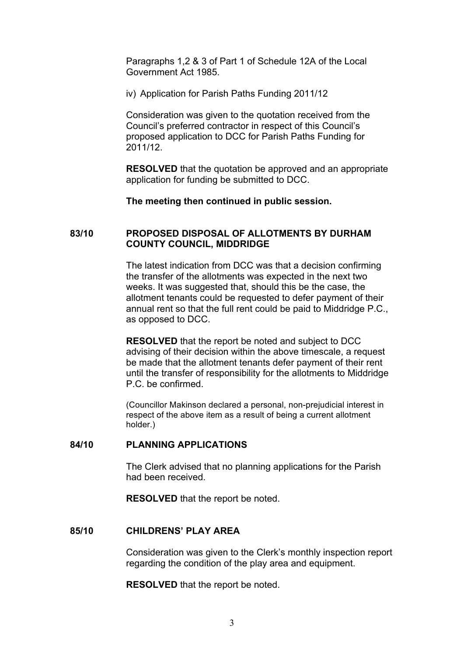Paragraphs 1,2 & 3 of Part 1 of Schedule 12A of the Local Government Act 1985.

iv) Application for Parish Paths Funding 2011/12

Consideration was given to the quotation received from the Council's preferred contractor in respect of this Council's proposed application to DCC for Parish Paths Funding for 2011/12.

**RESOLVED** that the quotation be approved and an appropriate application for funding be submitted to DCC.

**The meeting then continued in public session.**

### **83/10 PROPOSED DISPOSAL OF ALLOTMENTS BY DURHAM COUNTY COUNCIL, MIDDRIDGE**

The latest indication from DCC was that a decision confirming the transfer of the allotments was expected in the next two weeks. It was suggested that, should this be the case, the allotment tenants could be requested to defer payment of their annual rent so that the full rent could be paid to Middridge P.C., as opposed to DCC.

**RESOLVED** that the report be noted and subject to DCC advising of their decision within the above timescale, a request be made that the allotment tenants defer payment of their rent until the transfer of responsibility for the allotments to Middridge P.C. be confirmed.

(Councillor Makinson declared a personal, non-prejudicial interest in respect of the above item as a result of being a current allotment holder.)

### **84/10 PLANNING APPLICATIONS**

The Clerk advised that no planning applications for the Parish had been received.

**RESOLVED** that the report be noted.

### **85/10 CHILDRENS' PLAY AREA**

Consideration was given to the Clerk's monthly inspection report regarding the condition of the play area and equipment.

**RESOLVED** that the report be noted.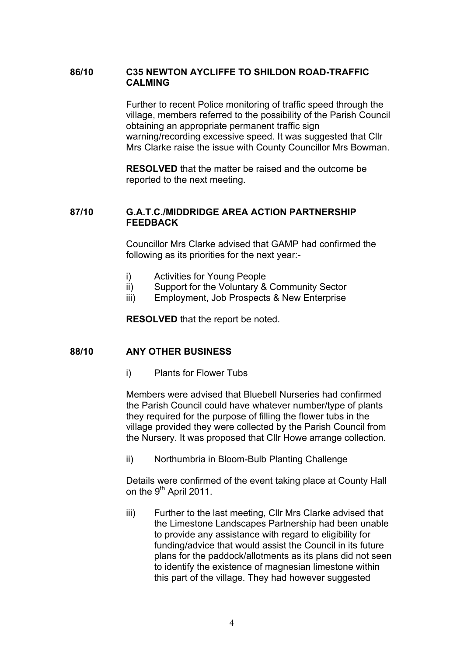## **86/10 C35 NEWTON AYCLIFFE TO SHILDON ROAD-TRAFFIC CALMING**

Further to recent Police monitoring of traffic speed through the village, members referred to the possibility of the Parish Council obtaining an appropriate permanent traffic sign warning/recording excessive speed. It was suggested that Cllr Mrs Clarke raise the issue with County Councillor Mrs Bowman.

**RESOLVED** that the matter be raised and the outcome be reported to the next meeting.

# **87/10 G.A.T.C./MIDDRIDGE AREA ACTION PARTNERSHIP FEEDBACK**

Councillor Mrs Clarke advised that GAMP had confirmed the following as its priorities for the next year:-

- i) Activities for Young People
- ii) Support for the Voluntary & Community Sector
- iii) Employment, Job Prospects & New Enterprise

**RESOLVED** that the report be noted.

### **88/10 ANY OTHER BUSINESS**

i) Plants for Flower Tubs

Members were advised that Bluebell Nurseries had confirmed the Parish Council could have whatever number/type of plants they required for the purpose of filling the flower tubs in the village provided they were collected by the Parish Council from the Nursery. It was proposed that Cllr Howe arrange collection.

ii) Northumbria in Bloom-Bulb Planting Challenge

Details were confirmed of the event taking place at County Hall on the 9<sup>th</sup> April 2011.

iii) Further to the last meeting, Cllr Mrs Clarke advised that the Limestone Landscapes Partnership had been unable to provide any assistance with regard to eligibility for funding/advice that would assist the Council in its future plans for the paddock/allotments as its plans did not seen to identify the existence of magnesian limestone within this part of the village. They had however suggested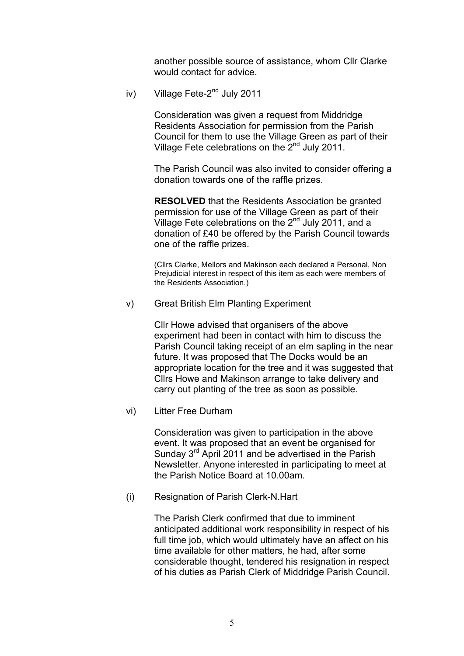another possible source of assistance, whom Cllr Clarke would contact for advice.

iv) Village Fete-2<sup>nd</sup> July 2011

Consideration was given a request from Middridge Residents Association for permission from the Parish Council for them to use the Village Green as part of their Village Fete celebrations on the 2<sup>nd</sup> July 2011.

The Parish Council was also invited to consider offering a donation towards one of the raffle prizes.

**RESOLVED** that the Residents Association be granted permission for use of the Village Green as part of their Village Fete celebrations on the  $2^{nd}$  July 2011, and a donation of £40 be offered by the Parish Council towards one of the raffle prizes.

(Cllrs Clarke, Mellors and Makinson each declared a Personal, Non Prejudicial interest in respect of this item as each were members of the Residents Association.)

v) Great British Elm Planting Experiment

Cllr Howe advised that organisers of the above experiment had been in contact with him to discuss the Parish Council taking receipt of an elm sapling in the near future. It was proposed that The Docks would be an appropriate location for the tree and it was suggested that Cllrs Howe and Makinson arrange to take delivery and carry out planting of the tree as soon as possible.

vi) Litter Free Durham

Consideration was given to participation in the above event. It was proposed that an event be organised for Sunday 3<sup>rd</sup> April 2011 and be advertised in the Parish Newsletter. Anyone interested in participating to meet at the Parish Notice Board at 10.00am.

(i) Resignation of Parish Clerk-N.Hart

The Parish Clerk confirmed that due to imminent anticipated additional work responsibility in respect of his full time job, which would ultimately have an affect on his time available for other matters, he had, after some considerable thought, tendered his resignation in respect of his duties as Parish Clerk of Middridge Parish Council.